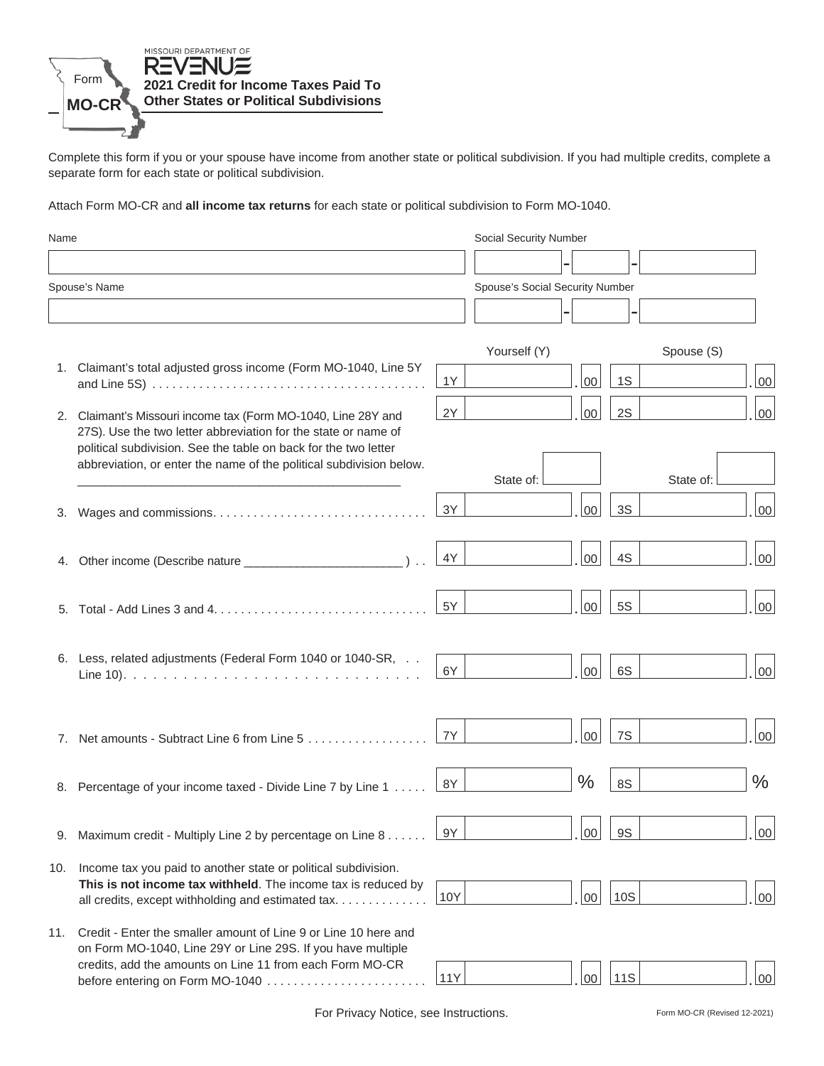

Complete this form if you or your spouse have income from another state or political subdivision. If you had multiple credits, complete a separate form for each state or political subdivision.

Attach Form MO-CR and **all income tax returns** for each state or political subdivision to Form MO-1040.

| Name          |                                                                                                                                                                                                    |            | Social Security Number          |            |            |               |
|---------------|----------------------------------------------------------------------------------------------------------------------------------------------------------------------------------------------------|------------|---------------------------------|------------|------------|---------------|
|               |                                                                                                                                                                                                    |            |                                 |            |            |               |
| Spouse's Name |                                                                                                                                                                                                    |            | Spouse's Social Security Number |            |            |               |
|               |                                                                                                                                                                                                    |            |                                 |            |            |               |
|               |                                                                                                                                                                                                    |            | Yourself (Y)                    |            | Spouse (S) |               |
|               | 1. Claimant's total adjusted gross income (Form MO-1040, Line 5Y                                                                                                                                   | 1Y         | 00                              | 1S         |            | 00            |
|               | 2. Claimant's Missouri income tax (Form MO-1040, Line 28Y and<br>27S). Use the two letter abbreviation for the state or name of<br>political subdivision. See the table on back for the two letter | 2Y         | 00                              | 2S         |            | 00            |
|               | abbreviation, or enter the name of the political subdivision below.                                                                                                                                |            | State of:                       |            | State of:  |               |
| 3.            |                                                                                                                                                                                                    | 3Y         | 00                              | 3S         |            | 00            |
|               |                                                                                                                                                                                                    | 4Y         | 00                              | 4S         |            | 00            |
|               |                                                                                                                                                                                                    | 5Y         | 00                              | <b>5S</b>  |            | 00            |
|               | 6. Less, related adjustments (Federal Form 1040 or 1040-SR,                                                                                                                                        | 6Y         | 00                              | 6S         |            | 00            |
|               | 7. Net amounts - Subtract Line 6 from Line 5                                                                                                                                                       | 7Y         | 00                              | 7S         |            | 00            |
|               | 8. Percentage of your income taxed - Divide Line 7 by Line 1                                                                                                                                       | 8Y         | $\frac{0}{0}$                   | 8S         |            | $\frac{0}{0}$ |
| 9.            | Maximum credit - Multiply Line 2 by percentage on Line $8 \ldots 8 \cdot 9Y$                                                                                                                       |            |                                 | $.00$ $95$ |            | <u>. loo </u> |
| 10.           | Income tax you paid to another state or political subdivision.<br>This is not income tax withheld. The income tax is reduced by<br>all credits, except withholding and estimated tax               | 10Y        | 00                              | <b>10S</b> |            | $00\,$        |
| 11.           | Credit - Enter the smaller amount of Line 9 or Line 10 here and<br>on Form MO-1040, Line 29Y or Line 29S. If you have multiple<br>credits, add the amounts on Line 11 from each Form MO-CR         | <b>11Y</b> | 00                              | <b>11S</b> |            | 00            |

For Privacy Notice, see Instructions.